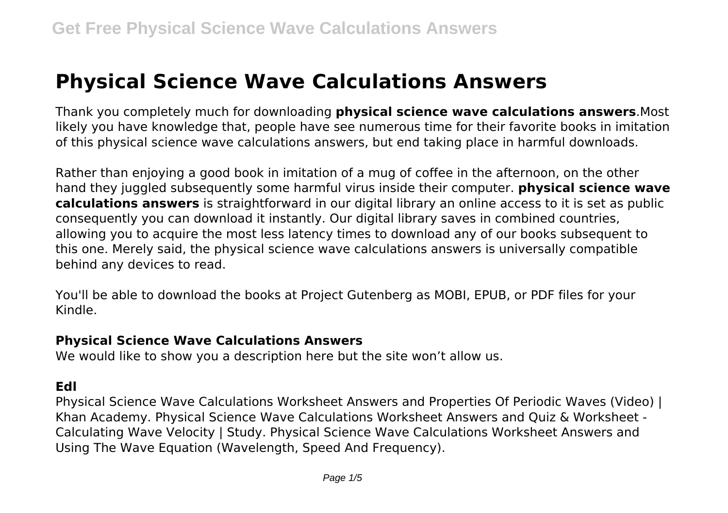# **Physical Science Wave Calculations Answers**

Thank you completely much for downloading **physical science wave calculations answers**.Most likely you have knowledge that, people have see numerous time for their favorite books in imitation of this physical science wave calculations answers, but end taking place in harmful downloads.

Rather than enjoying a good book in imitation of a mug of coffee in the afternoon, on the other hand they juggled subsequently some harmful virus inside their computer. **physical science wave calculations answers** is straightforward in our digital library an online access to it is set as public consequently you can download it instantly. Our digital library saves in combined countries, allowing you to acquire the most less latency times to download any of our books subsequent to this one. Merely said, the physical science wave calculations answers is universally compatible behind any devices to read.

You'll be able to download the books at Project Gutenberg as MOBI, EPUB, or PDF files for your Kindle.

#### **Physical Science Wave Calculations Answers**

We would like to show you a description here but the site won't allow us.

#### **Edl**

Physical Science Wave Calculations Worksheet Answers and Properties Of Periodic Waves (Video) | Khan Academy. Physical Science Wave Calculations Worksheet Answers and Quiz & Worksheet - Calculating Wave Velocity | Study. Physical Science Wave Calculations Worksheet Answers and Using The Wave Equation (Wavelength, Speed And Frequency).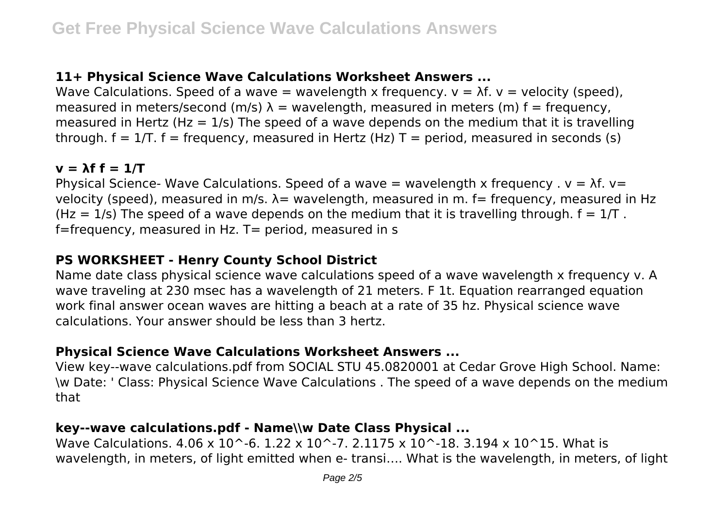# **11+ Physical Science Wave Calculations Worksheet Answers ...**

Wave Calculations. Speed of a wave = wavelength x frequency.  $v = \lambda f$ .  $v =$  velocity (speed), measured in meters/second (m/s)  $\lambda$  = wavelength, measured in meters (m) f = frequency, measured in Hertz (Hz =  $1/s$ ) The speed of a wave depends on the medium that it is travelling through.  $f = 1/T$ .  $f = \text{frequency}$ , measured in Hertz (Hz)  $T = \text{period}$ , measured in seconds (s)

#### $v = \lambda f f = 1/T$

Physical Science- Wave Calculations. Speed of a wave = wavelength x frequency .  $v = \lambda f$ .  $v =$ velocity (speed), measured in m/s.  $\lambda$  = wavelength, measured in m. f = frequency, measured in Hz (Hz = 1/s) The speed of a wave depends on the medium that it is travelling through.  $f = 1/T$ . f=frequency, measured in Hz. T= period, measured in s

## **PS WORKSHEET - Henry County School District**

Name date class physical science wave calculations speed of a wave wavelength x frequency v. A wave traveling at 230 msec has a wavelength of 21 meters. F 1t. Equation rearranged equation work final answer ocean waves are hitting a beach at a rate of 35 hz. Physical science wave calculations. Your answer should be less than 3 hertz.

## **Physical Science Wave Calculations Worksheet Answers ...**

View key--wave calculations.pdf from SOCIAL STU 45.0820001 at Cedar Grove High School. Name: \w Date: ' Class: Physical Science Wave Calculations . The speed of a wave depends on the medium that

#### **key--wave calculations.pdf - Name\\w Date Class Physical ...**

Wave Calculations.  $4.06 \times 10^{-6}$ . 1.22 x 10^-7. 2.1175 x 10^-18. 3.194 x 10^15. What is wavelength, in meters, of light emitted when e- transi…. What is the wavelength, in meters, of light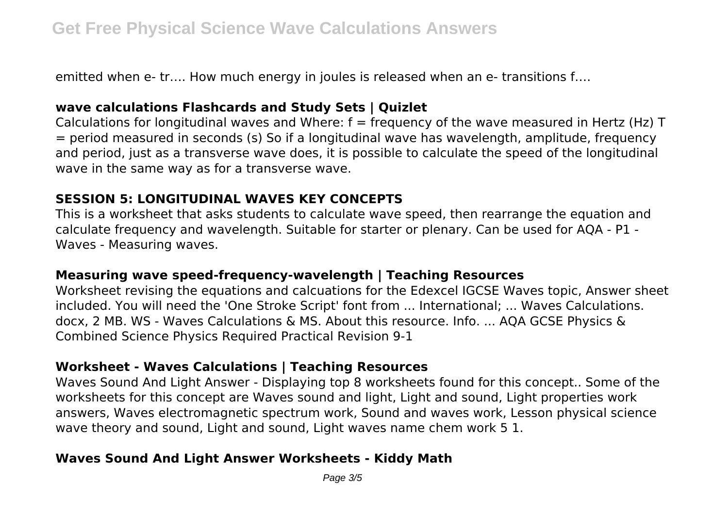emitted when e- tr…. How much energy in joules is released when an e- transitions f….

### **wave calculations Flashcards and Study Sets | Quizlet**

Calculations for longitudinal waves and Where:  $f = f$ requency of the wave measured in Hertz (Hz) T = period measured in seconds (s) So if a longitudinal wave has wavelength, amplitude, frequency and period, just as a transverse wave does, it is possible to calculate the speed of the longitudinal wave in the same way as for a transverse wave.

# **SESSION 5: LONGITUDINAL WAVES KEY CONCEPTS**

This is a worksheet that asks students to calculate wave speed, then rearrange the equation and calculate frequency and wavelength. Suitable for starter or plenary. Can be used for AQA - P1 - Waves - Measuring waves.

#### **Measuring wave speed-frequency-wavelength | Teaching Resources**

Worksheet revising the equations and calcuations for the Edexcel IGCSE Waves topic, Answer sheet included. You will need the 'One Stroke Script' font from ... International; ... Waves Calculations. docx, 2 MB. WS - Waves Calculations & MS. About this resource. Info. ... AQA GCSE Physics & Combined Science Physics Required Practical Revision 9-1

#### **Worksheet - Waves Calculations | Teaching Resources**

Waves Sound And Light Answer - Displaying top 8 worksheets found for this concept.. Some of the worksheets for this concept are Waves sound and light, Light and sound, Light properties work answers, Waves electromagnetic spectrum work, Sound and waves work, Lesson physical science wave theory and sound, Light and sound, Light waves name chem work 5 1.

## **Waves Sound And Light Answer Worksheets - Kiddy Math**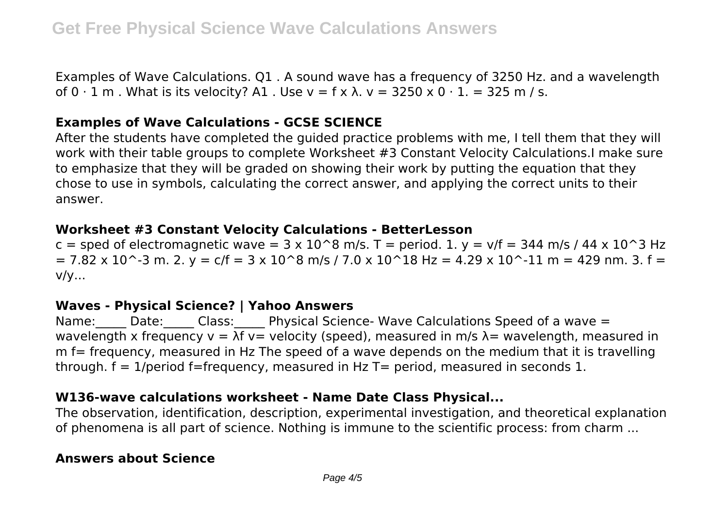Examples of Wave Calculations. Q1 . A sound wave has a frequency of 3250 Hz. and a wavelength of  $0 \cdot 1$  m . What is its velocity? A1 . Use  $v = f \times \lambda$ .  $v = 3250 \times 0 \cdot 1$ . = 325 m / s.

#### **Examples of Wave Calculations - GCSE SCIENCE**

After the students have completed the guided practice problems with me, I tell them that they will work with their table groups to complete Worksheet #3 Constant Velocity Calculations.I make sure to emphasize that they will be graded on showing their work by putting the equation that they chose to use in symbols, calculating the correct answer, and applying the correct units to their answer.

#### **Worksheet #3 Constant Velocity Calculations - BetterLesson**

c = sped of electromagnetic wave =  $3 \times 10^8$  m/s. T = period. 1. y = v/f = 344 m/s / 44 x 10<sup>o</sup>3 Hz  $= 7.82 \times 10^{-3}$  m. 2. y = c/f = 3 x 10^8 m/s / 7.0 x 10^18 Hz = 4.29 x 10^-11 m = 429 nm. 3. f = v/y...

#### **Waves - Physical Science? | Yahoo Answers**

Name: Date: Class: Physical Science- Wave Calculations Speed of a wave = wavelength x frequency  $v = \lambda f$  v= velocity (speed), measured in m/s  $\lambda$ = wavelength, measured in m f= frequency, measured in Hz The speed of a wave depends on the medium that it is travelling through,  $f = 1$ /period f=frequency, measured in Hz T= period, measured in seconds 1.

#### **W136-wave calculations worksheet - Name Date Class Physical...**

The observation, identification, description, experimental investigation, and theoretical explanation of phenomena is all part of science. Nothing is immune to the scientific process: from charm ...

#### **Answers about Science**